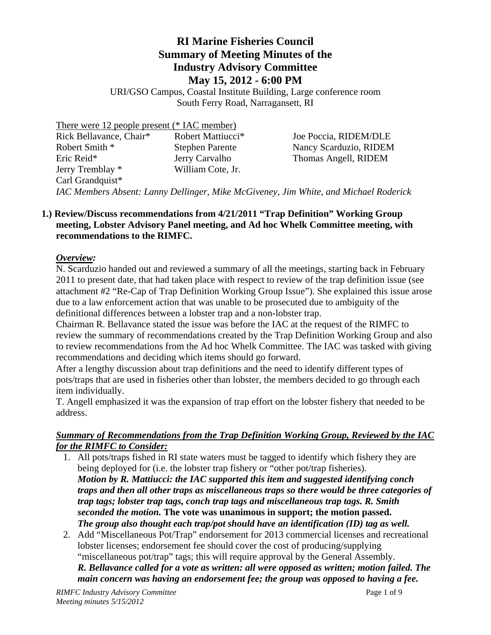# **RI Marine Fisheries Council Summary of Meeting Minutes of the Industry Advisory Committee May 15, 2012 - 6:00 PM**

URI/GSO Campus, Coastal Institute Building, Large conference room South Ferry Road, Narragansett, RI

| There were 12 people present (* IAC member)                                          |                               |                        |
|--------------------------------------------------------------------------------------|-------------------------------|------------------------|
| Rick Bellavance, Chair*                                                              | Robert Mattiucci <sup>*</sup> | Joe Poccia, RIDEM/DLE  |
| Robert Smith *                                                                       | <b>Stephen Parente</b>        | Nancy Scarduzio, RIDEM |
| Eric Reid*                                                                           | Jerry Carvalho                | Thomas Angell, RIDEM   |
| Jerry Tremblay *                                                                     | William Cote, Jr.             |                        |
| Carl Grandquist*                                                                     |                               |                        |
| IAC Members Absent: Lanny Dellinger, Mike McGiveney, Jim White, and Michael Roderick |                               |                        |

# **1.) Review/Discuss recommendations from 4/21/2011 "Trap Definition" Working Group meeting, Lobster Advisory Panel meeting, and Ad hoc Whelk Committee meeting, with recommendations to the RIMFC.**

# *Overview:*

N. Scarduzio handed out and reviewed a summary of all the meetings, starting back in February 2011 to present date, that had taken place with respect to review of the trap definition issue (see attachment #2 "Re-Cap of Trap Definition Working Group Issue"). She explained this issue arose due to a law enforcement action that was unable to be prosecuted due to ambiguity of the definitional differences between a lobster trap and a non-lobster trap.

Chairman R. Bellavance stated the issue was before the IAC at the request of the RIMFC to review the summary of recommendations created by the Trap Definition Working Group and also to review recommendations from the Ad hoc Whelk Committee. The IAC was tasked with giving recommendations and deciding which items should go forward.

After a lengthy discussion about trap definitions and the need to identify different types of pots/traps that are used in fisheries other than lobster, the members decided to go through each item individually.

T. Angell emphasized it was the expansion of trap effort on the lobster fishery that needed to be address.

## *Summary of Recommendations from the Trap Definition Working Group, Reviewed by the IAC for the RIMFC to Consider:*

- 1. All pots/traps fished in RI state waters must be tagged to identify which fishery they are being deployed for (i.e. the lobster trap fishery or "other pot/trap fisheries). *Motion by R. Mattiucci: the IAC supported this item and suggested identifying conch traps and then all other traps as miscellaneous traps so there would be three categories of trap tags; lobster trap tags, conch trap tags and miscellaneous trap tags. R. Smith seconded the motion.* **The vote was unanimous in support; the motion passed.**  *The group also thought each trap/pot should have an identification (ID) tag as well.*
- 2. Add "Miscellaneous Pot/Trap" endorsement for 2013 commercial licenses and recreational lobster licenses; endorsement fee should cover the cost of producing/supplying "miscellaneous pot/trap" tags; this will require approval by the General Assembly. *R. Bellavance called for a vote as written: all were opposed as written; motion failed. The main concern was having an endorsement fee; the group was opposed to having a fee.*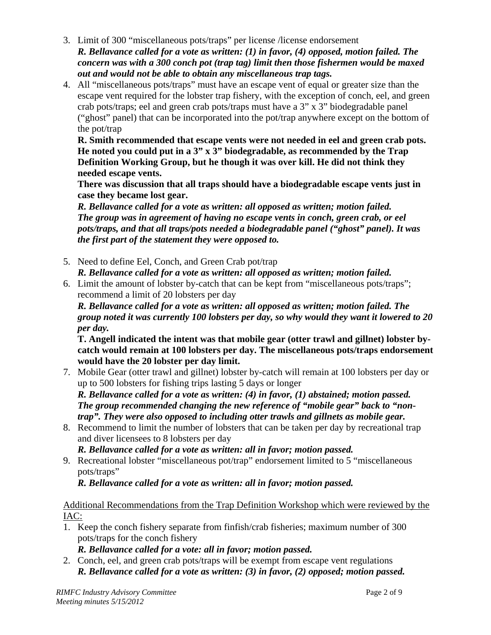- 3. Limit of 300 "miscellaneous pots/traps" per license /license endorsement *R. Bellavance called for a vote as written: (1) in favor, (4) opposed, motion failed. The concern was with a 300 conch pot (trap tag) limit then those fishermen would be maxed out and would not be able to obtain any miscellaneous trap tags.*
- 4. All "miscellaneous pots/traps" must have an escape vent of equal or greater size than the escape vent required for the lobster trap fishery, with the exception of conch, eel, and green crab pots/traps; eel and green crab pots/traps must have a 3" x 3" biodegradable panel ("ghost" panel) that can be incorporated into the pot/trap anywhere except on the bottom of the pot/trap

**R. Smith recommended that escape vents were not needed in eel and green crab pots. He noted you could put in a 3" x 3" biodegradable, as recommended by the Trap Definition Working Group, but he though it was over kill. He did not think they needed escape vents.** 

**There was discussion that all traps should have a biodegradable escape vents just in case they became lost gear.** 

*R. Bellavance called for a vote as written: all opposed as written; motion failed. The group was in agreement of having no escape vents in conch, green crab, or eel pots/traps, and that all traps/pots needed a biodegradable panel ("ghost" panel). It was the first part of the statement they were opposed to.* 

- 5. Need to define Eel, Conch, and Green Crab pot/trap *R. Bellavance called for a vote as written: all opposed as written; motion failed.*
- 6. Limit the amount of lobster by-catch that can be kept from "miscellaneous pots/traps"; recommend a limit of 20 lobsters per day

*R. Bellavance called for a vote as written: all opposed as written; motion failed. The group noted it was currently 100 lobsters per day, so why would they want it lowered to 20 per day.* 

**T. Angell indicated the intent was that mobile gear (otter trawl and gillnet) lobster bycatch would remain at 100 lobsters per day. The miscellaneous pots/traps endorsement would have the 20 lobster per day limit.** 

7. Mobile Gear (otter trawl and gillnet) lobster by-catch will remain at 100 lobsters per day or up to 500 lobsters for fishing trips lasting 5 days or longer

*R. Bellavance called for a vote as written: (4) in favor, (1) abstained; motion passed. The group recommended changing the new reference of "mobile gear" back to "nontrap". They were also opposed to including otter trawls and gillnets as mobile gear.* 

8. Recommend to limit the number of lobsters that can be taken per day by recreational trap and diver licensees to 8 lobsters per day

*R. Bellavance called for a vote as written: all in favor; motion passed.*

9. Recreational lobster "miscellaneous pot/trap" endorsement limited to 5 "miscellaneous pots/traps"

*R. Bellavance called for a vote as written: all in favor; motion passed.*

Additional Recommendations from the Trap Definition Workshop which were reviewed by the IAC:

1. Keep the conch fishery separate from finfish/crab fisheries; maximum number of 300 pots/traps for the conch fishery

*R. Bellavance called for a vote: all in favor; motion passed.*

2. Conch, eel, and green crab pots/traps will be exempt from escape vent regulations *R. Bellavance called for a vote as written: (3) in favor, (2) opposed; motion passed.*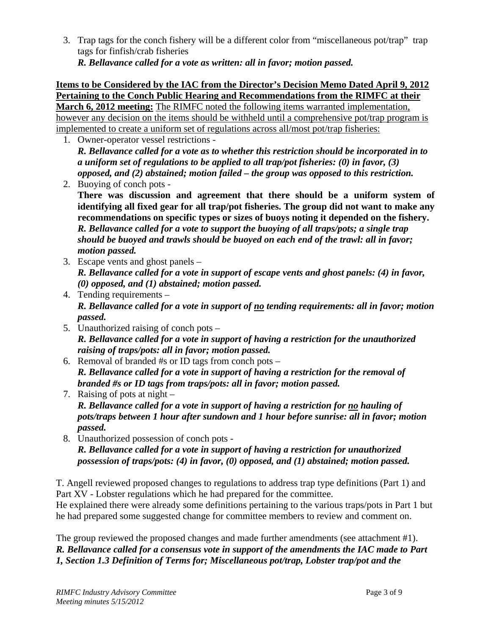3. Trap tags for the conch fishery will be a different color from "miscellaneous pot/trap" trap tags for finfish/crab fisheries

*R. Bellavance called for a vote as written: all in favor; motion passed.*

#### **Items to be Considered by the IAC from the Director's Decision Memo Dated April 9, 2012 Pertaining to the Conch Public Hearing and Recommendations from the RIMFC at their March 6, 2012 meeting:** The RIMFC noted the following items warranted implementation, however any decision on the items should be withheld until a comprehensive pot/trap program is

implemented to create a uniform set of regulations across all/most pot/trap fisheries: 1. Owner-operator vessel restrictions - *R. Bellavance called for a vote as to whether this restriction should be incorporated in to* 

*a uniform set of regulations to be applied to all trap/pot fisheries: (0) in favor, (3) opposed, and (2) abstained; motion failed – the group was opposed to this restriction.* 

2. Buoying of conch pots - **There was discussion and agreement that there should be a uniform system of identifying all fixed gear for all trap/pot fisheries. The group did not want to make any recommendations on specific types or sizes of buoys noting it depended on the fishery.**  *R. Bellavance called for a vote to support the buoying of all traps/pots; a single trap should be buoyed and trawls should be buoyed on each end of the trawl: all in favor; motion passed.* 

- 3. Escape vents and ghost panels *R. Bellavance called for a vote in support of escape vents and ghost panels: (4) in favor, (0) opposed, and (1) abstained; motion passed.*
- 4. Tending requirements *R. Bellavance called for a vote in support of no tending requirements: all in favor; motion passed.*
- 5. Unauthorized raising of conch pots *R. Bellavance called for a vote in support of having a restriction for the unauthorized raising of traps/pots: all in favor; motion passed.*
- 6. Removal of branded #s or ID tags from conch pots *R. Bellavance called for a vote in support of having a restriction for the removal of branded #s or ID tags from traps/pots: all in favor; motion passed.*
- 7. Raising of pots at night *R. Bellavance called for a vote in support of having a restriction for no hauling of pots/traps between 1 hour after sundown and 1 hour before sunrise: all in favor; motion passed.*
- 8. Unauthorized possession of conch pots *R. Bellavance called for a vote in support of having a restriction for unauthorized possession of traps/pots: (4) in favor, (0) opposed, and (1) abstained; motion passed.*

T. Angell reviewed proposed changes to regulations to address trap type definitions (Part 1) and Part XV - Lobster regulations which he had prepared for the committee.

He explained there were already some definitions pertaining to the various traps/pots in Part 1 but he had prepared some suggested change for committee members to review and comment on.

The group reviewed the proposed changes and made further amendments (see attachment #1). *R. Bellavance called for a consensus vote in support of the amendments the IAC made to Part 1, Section 1.3 Definition of Terms for; Miscellaneous pot/trap, Lobster trap/pot and the*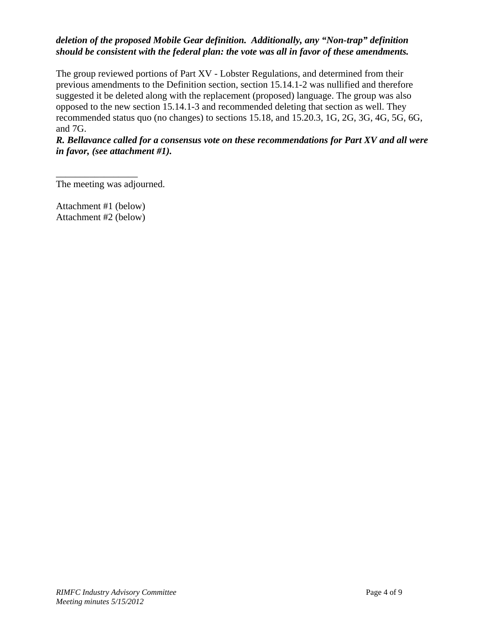# *deletion of the proposed Mobile Gear definition. Additionally, any "Non-trap" definition should be consistent with the federal plan: the vote was all in favor of these amendments.*

The group reviewed portions of Part XV - Lobster Regulations, and determined from their previous amendments to the Definition section, section 15.14.1-2 was nullified and therefore suggested it be deleted along with the replacement (proposed) language. The group was also opposed to the new section 15.14.1-3 and recommended deleting that section as well. They recommended status quo (no changes) to sections 15.18, and 15.20.3, 1G, 2G, 3G, 4G, 5G, 6G, and 7G.

*R. Bellavance called for a consensus vote on these recommendations for Part XV and all were in favor, (see attachment #1).*

The meeting was adjourned.

Attachment #1 (below) Attachment #2 (below)

\_\_\_\_\_\_\_\_\_\_\_\_\_\_\_\_\_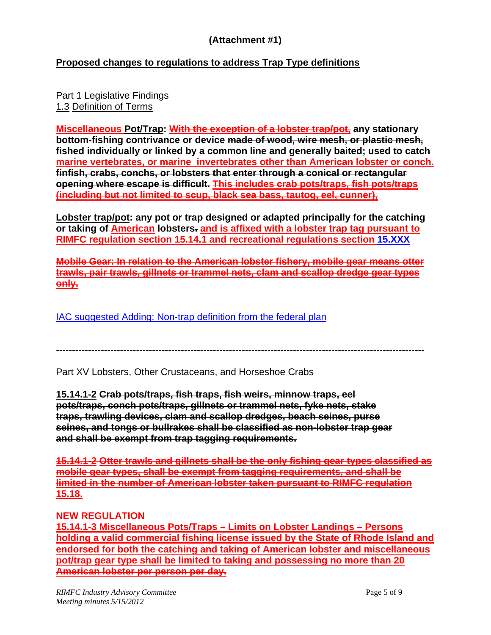# **(Attachment #1)**

# **Proposed changes to regulations to address Trap Type definitions**

Part 1 Legislative Findings 1.3 Definition of Terms

**Miscellaneous Pot/Trap: With the exception of a lobster trap/pot, any stationary bottom-fishing contrivance or device made of wood, wire mesh, or plastic mesh, fished individually or linked by a common line and generally baited; used to catch marine vertebrates, or marine invertebrates other than American lobster or conch. finfish, crabs, conchs, or lobsters that enter through a conical or rectangular opening where escape is difficult. This includes crab pots/traps, fish pots/traps (including but not limited to scup, black sea bass, tautog, eel, cunner),** 

**Lobster trap/pot: any pot or trap designed or adapted principally for the catching or taking of American lobsters. and is affixed with a lobster trap tag pursuant to RIMFC regulation section 15.14.1 and recreational regulations section 15.XXX**

**Mobile Gear: In relation to the American lobster fishery, mobile gear means otter trawls, pair trawls, gillnets or trammel nets, clam and scallop dredge gear types only.**

IAC suggested Adding: Non-trap definition from the federal plan

-------------------------------------------------------------------------------------------------------------------

Part XV Lobsters, Other Crustaceans, and Horseshoe Crabs

**15.14.1-2 Crab pots/traps, fish traps, fish weirs, minnow traps, eel pots/traps, conch pots/traps, gillnets or trammel nets, fyke nets, stake traps, trawling devices, clam and scallop dredges, beach seines, purse seines, and tongs or bullrakes shall be classified as non-lobster trap gear and shall be exempt from trap tagging requirements.**

**15.14.1-2 Otter trawls and gillnets shall be the only fishing gear types classified as mobile gear types, shall be exempt from tagging requirements, and shall be limited in the number of American lobster taken pursuant to RIMFC regulation 15.18.**

## **NEW REGULATION**

**15.14.1-3 Miscellaneous Pots/Traps – Limits on Lobster Landings – Persons holding a valid commercial fishing license issued by the State of Rhode Island and endorsed for both the catching and taking of American lobster and miscellaneous pot/trap gear type shall be limited to taking and possessing no more than 20 American lobster per person per day.**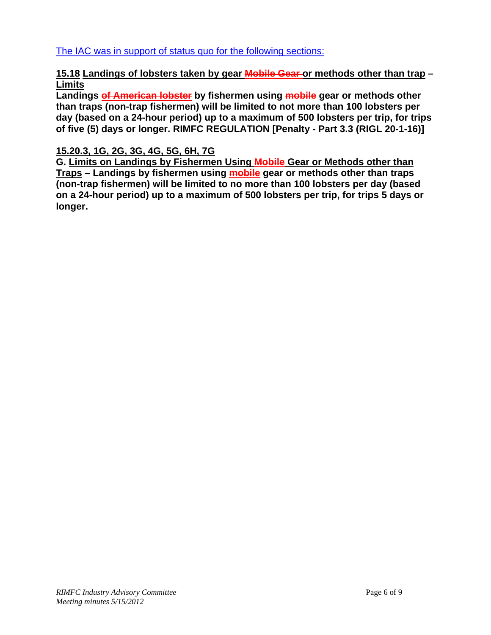The IAC was in support of status quo for the following sections:

# **15.18 Landings of lobsters taken by gear Mobile Gear or methods other than trap – Limits**

**Landings of American lobster by fishermen using mobile gear or methods other than traps (non-trap fishermen) will be limited to not more than 100 lobsters per day (based on a 24-hour period) up to a maximum of 500 lobsters per trip, for trips of five (5) days or longer. RIMFC REGULATION [Penalty - Part 3.3 (RIGL 20-1-16)]** 

# **15.20.3, 1G, 2G, 3G, 4G, 5G, 6H, 7G**

**G. Limits on Landings by Fishermen Using Mobile Gear or Methods other than Traps – Landings by fishermen using mobile gear or methods other than traps (non-trap fishermen) will be limited to no more than 100 lobsters per day (based on a 24-hour period) up to a maximum of 500 lobsters per trip, for trips 5 days or longer.**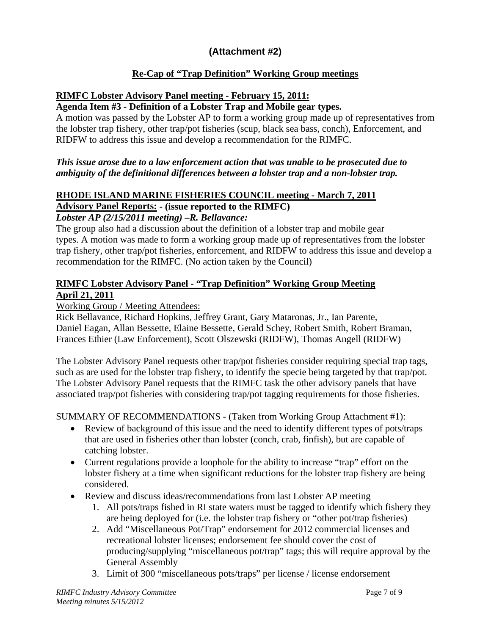# **(Attachment #2)**

# **Re-Cap of "Trap Definition" Working Group meetings**

# **RIMFC Lobster Advisory Panel meeting - February 15, 2011:**

## **Agenda Item #3 - Definition of a Lobster Trap and Mobile gear types.**

A motion was passed by the Lobster AP to form a working group made up of representatives from the lobster trap fishery, other trap/pot fisheries (scup, black sea bass, conch), Enforcement, and RIDFW to address this issue and develop a recommendation for the RIMFC.

### *This issue arose due to a law enforcement action that was unable to be prosecuted due to ambiguity of the definitional differences between a lobster trap and a non-lobster trap.*

# **RHODE ISLAND MARINE FISHERIES COUNCIL meeting - March 7, 2011**

# **Advisory Panel Reports: - (issue reported to the RIMFC)**

# *Lobster AP (2/15/2011 meeting) –R. Bellavance:*

The group also had a discussion about the definition of a lobster trap and mobile gear types. A motion was made to form a working group made up of representatives from the lobster trap fishery, other trap/pot fisheries, enforcement, and RIDFW to address this issue and develop a recommendation for the RIMFC. (No action taken by the Council)

# **RIMFC Lobster Advisory Panel - "Trap Definition" Working Group Meeting April 21, 2011**

Working Group / Meeting Attendees:

Rick Bellavance, Richard Hopkins, Jeffrey Grant, Gary Mataronas, Jr., Ian Parente, Daniel Eagan, Allan Bessette, Elaine Bessette, Gerald Schey, Robert Smith, Robert Braman, Frances Ethier (Law Enforcement), Scott Olszewski (RIDFW), Thomas Angell (RIDFW)

The Lobster Advisory Panel requests other trap/pot fisheries consider requiring special trap tags, such as are used for the lobster trap fishery, to identify the specie being targeted by that trap/pot. The Lobster Advisory Panel requests that the RIMFC task the other advisory panels that have associated trap/pot fisheries with considering trap/pot tagging requirements for those fisheries.

## SUMMARY OF RECOMMENDATIONS - (Taken from Working Group Attachment #1):

- Review of background of this issue and the need to identify different types of pots/traps that are used in fisheries other than lobster (conch, crab, finfish), but are capable of catching lobster.
- Current regulations provide a loophole for the ability to increase "trap" effort on the lobster fishery at a time when significant reductions for the lobster trap fishery are being considered.
- Review and discuss ideas/recommendations from last Lobster AP meeting
	- 1. All pots/traps fished in RI state waters must be tagged to identify which fishery they are being deployed for (i.e. the lobster trap fishery or "other pot/trap fisheries)
	- 2. Add "Miscellaneous Pot/Trap" endorsement for 2012 commercial licenses and recreational lobster licenses; endorsement fee should cover the cost of producing/supplying "miscellaneous pot/trap" tags; this will require approval by the General Assembly
	- 3. Limit of 300 "miscellaneous pots/traps" per license / license endorsement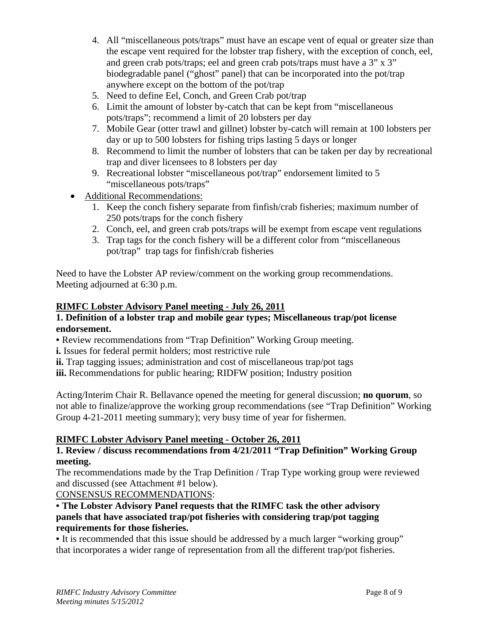- 4. All "miscellaneous pots/traps" must have an escape vent of equal or greater size than the escape vent required for the lobster trap fishery, with the exception of conch, eel, and green crab pots/traps; eel and green crab pots/traps must have a 3" x 3" biodegradable panel ("ghost" panel) that can be incorporated into the pot/trap anywhere except on the bottom of the pot/trap
- 5. Need to define Eel, Conch, and Green Crab pot/trap
- 6. Limit the amount of lobster by-catch that can be kept from "miscellaneous pots/traps"; recommend a limit of 20 lobsters per day
- 7. Mobile Gear (otter trawl and gillnet) lobster by-catch will remain at 100 lobsters per day or up to 500 lobsters for fishing trips lasting 5 days or longer
- 8. Recommend to limit the number of lobsters that can be taken per day by recreational trap and diver licensees to 8 lobsters per day
- 9. Recreational lobster "miscellaneous pot/trap" endorsement limited to 5 "miscellaneous pots/traps"
- Additional Recommendations:
	- 1. Keep the conch fishery separate from finfish/crab fisheries; maximum number of 250 pots/traps for the conch fishery
	- 2. Conch, eel, and green crab pots/traps will be exempt from escape vent regulations
	- 3. Trap tags for the conch fishery will be a different color from "miscellaneous pot/trap" trap tags for finfish/crab fisheries

Need to have the Lobster AP review/comment on the working group recommendations. Meeting adjourned at 6:30 p.m.

# **RIMFC Lobster Advisory Panel meeting - July 26, 2011**

### **1. Definition of a lobster trap and mobile gear types; Miscellaneous trap/pot license endorsement.**

• Review recommendations from "Trap Definition" Working Group meeting.

**i.** Issues for federal permit holders; most restrictive rule

**ii.** Trap tagging issues; administration and cost of miscellaneous trap/pot tags

**iii.** Recommendations for public hearing; RIDFW position; Industry position

Acting/Interim Chair R. Bellavance opened the meeting for general discussion; **no quorum**, so not able to finalize/approve the working group recommendations (see "Trap Definition" Working Group 4-21-2011 meeting summary); very busy time of year for fishermen.

## **RIMFC Lobster Advisory Panel meeting - October 26, 2011**

## **1. Review / discuss recommendations from 4/21/2011 "Trap Definition" Working Group meeting.**

The recommendations made by the Trap Definition / Trap Type working group were reviewed and discussed (see Attachment #1 below).

## CONSENSUS RECOMMENDATIONS:

### • **The Lobster Advisory Panel requests that the RIMFC task the other advisory panels that have associated trap/pot fisheries with considering trap/pot tagging requirements for those fisheries.**

• It is recommended that this issue should be addressed by a much larger "working group" that incorporates a wider range of representation from all the different trap/pot fisheries.